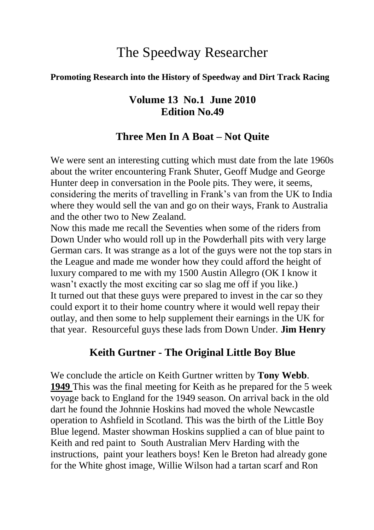# The Speedway Researcher

#### **Promoting Research into the History of Speedway and Dirt Track Racing**

### **Volume 13 No.1 June 2010 Edition No.49**

### **Three Men In A Boat – Not Quite**

We were sent an interesting cutting which must date from the late 1960s about the writer encountering Frank Shuter, Geoff Mudge and George Hunter deep in conversation in the Poole pits. They were, it seems, considering the merits of travelling in Frank's van from the UK to India where they would sell the van and go on their ways, Frank to Australia and the other two to New Zealand.

Now this made me recall the Seventies when some of the riders from Down Under who would roll up in the Powderhall pits with very large German cars. It was strange as a lot of the guys were not the top stars in the League and made me wonder how they could afford the height of luxury compared to me with my 1500 Austin Allegro (OK I know it wasn't exactly the most exciting car so slag me off if you like.) It turned out that these guys were prepared to invest in the car so they could export it to their home country where it would well repay their outlay, and then some to help supplement their earnings in the UK for that year. Resourceful guys these lads from Down Under. **Jim Henry**

### **Keith Gurtner - The Original Little Boy Blue**

We conclude the article on Keith Gurtner written by **Tony Webb**. **1949** This was the final meeting for Keith as he prepared for the 5 week voyage back to England for the 1949 season. On arrival back in the old dart he found the Johnnie Hoskins had moved the whole Newcastle operation to Ashfield in Scotland. This was the birth of the Little Boy Blue legend. Master showman Hoskins supplied a can of blue paint to Keith and red paint to South Australian Merv Harding with the instructions, paint your leathers boys! Ken le Breton had already gone for the White ghost image, Willie Wilson had a tartan scarf and Ron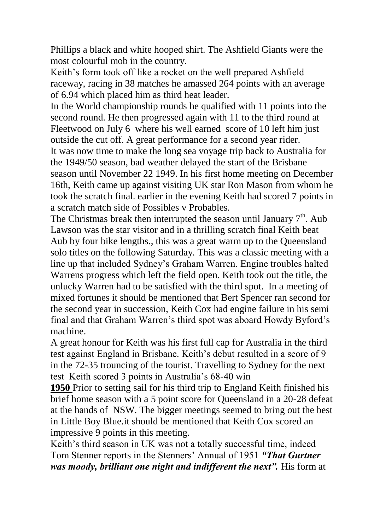Phillips a black and white hooped shirt. The Ashfield Giants were the most colourful mob in the country.

Keith's form took off like a rocket on the well prepared Ashfield raceway, racing in 38 matches he amassed 264 points with an average of 6.94 which placed him as third heat leader.

In the World championship rounds he qualified with 11 points into the second round. He then progressed again with 11 to the third round at Fleetwood on July 6 where his well earned score of 10 left him just outside the cut off. A great performance for a second year rider. It was now time to make the long sea voyage trip back to Australia for the 1949/50 season, bad weather delayed the start of the Brisbane season until November 22 1949. In his first home meeting on December 16th, Keith came up against visiting UK star Ron Mason from whom he took the scratch final. earlier in the evening Keith had scored 7 points in a scratch match side of Possibles v Probables.

The Christmas break then interrupted the season until January  $7<sup>th</sup>$ . Aub Lawson was the star visitor and in a thrilling scratch final Keith beat Aub by four bike lengths., this was a great warm up to the Queensland solo titles on the following Saturday. This was a classic meeting with a line up that included Sydney's Graham Warren. Engine troubles halted Warrens progress which left the field open. Keith took out the title, the unlucky Warren had to be satisfied with the third spot. In a meeting of mixed fortunes it should be mentioned that Bert Spencer ran second for the second year in succession, Keith Cox had engine failure in his semi final and that Graham Warren's third spot was aboard Howdy Byford's machine.

A great honour for Keith was his first full cap for Australia in the third test against England in Brisbane. Keith's debut resulted in a score of 9 in the 72-35 trouncing of the tourist. Travelling to Sydney for the next test Keith scored 3 points in Australia's 68-40 win

**1950** Prior to setting sail for his third trip to England Keith finished his brief home season with a 5 point score for Queensland in a 20-28 defeat at the hands of NSW. The bigger meetings seemed to bring out the best in Little Boy Blue.it should be mentioned that Keith Cox scored an impressive 9 points in this meeting.

Keith's third season in UK was not a totally successful time, indeed Tom Stenner reports in the Stenners' Annual of 1951 *"That Gurtner was moody, brilliant one night and indifferent the next".* His form at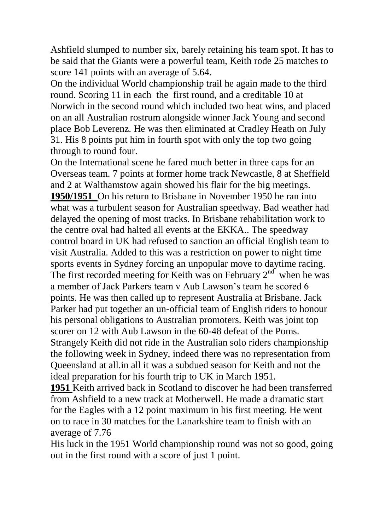Ashfield slumped to number six, barely retaining his team spot. It has to be said that the Giants were a powerful team, Keith rode 25 matches to score 141 points with an average of 5.64.

On the individual World championship trail he again made to the third round. Scoring 11 in each the first round, and a creditable 10 at Norwich in the second round which included two heat wins, and placed on an all Australian rostrum alongside winner Jack Young and second place Bob Leverenz. He was then eliminated at Cradley Heath on July 31. His 8 points put him in fourth spot with only the top two going through to round four.

On the International scene he fared much better in three caps for an Overseas team. 7 points at former home track Newcastle, 8 at Sheffield and 2 at Walthamstow again showed his flair for the big meetings. **1950/1951** On his return to Brisbane in November 1950 he ran into what was a turbulent season for Australian speedway. Bad weather had delayed the opening of most tracks. In Brisbane rehabilitation work to the centre oval had halted all events at the EKKA.. The speedway control board in UK had refused to sanction an official English team to visit Australia. Added to this was a restriction on power to night time sports events in Sydney forcing an unpopular move to daytime racing. The first recorded meeting for Keith was on February  $2<sup>nd</sup>$  when he was a member of Jack Parkers team v Aub Lawson's team he scored 6 points. He was then called up to represent Australia at Brisbane. Jack Parker had put together an un-official team of English riders to honour his personal obligations to Australian promoters. Keith was joint top scorer on 12 with Aub Lawson in the 60-48 defeat of the Poms. Strangely Keith did not ride in the Australian solo riders championship the following week in Sydney, indeed there was no representation from Queensland at all.in all it was a subdued season for Keith and not the ideal preparation for his fourth trip to UK in March 1951.

**1951** Keith arrived back in Scotland to discover he had been transferred from Ashfield to a new track at Motherwell. He made a dramatic start for the Eagles with a 12 point maximum in his first meeting. He went on to race in 30 matches for the Lanarkshire team to finish with an average of 7.76

His luck in the 1951 World championship round was not so good, going out in the first round with a score of just 1 point.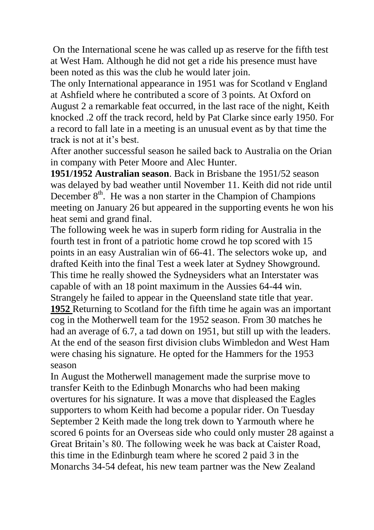On the International scene he was called up as reserve for the fifth test at West Ham. Although he did not get a ride his presence must have been noted as this was the club he would later join.

The only International appearance in 1951 was for Scotland v England at Ashfield where he contributed a score of 3 points. At Oxford on August 2 a remarkable feat occurred, in the last race of the night, Keith knocked .2 off the track record, held by Pat Clarke since early 1950. For a record to fall late in a meeting is an unusual event as by that time the track is not at it's best.

After another successful season he sailed back to Australia on the Orian in company with Peter Moore and Alec Hunter.

**1951/1952 Australian season**. Back in Brisbane the 1951/52 season was delayed by bad weather until November 11. Keith did not ride until December  $8<sup>th</sup>$ . He was a non starter in the Champion of Champions meeting on January 26 but appeared in the supporting events he won his heat semi and grand final.

The following week he was in superb form riding for Australia in the fourth test in front of a patriotic home crowd he top scored with 15 points in an easy Australian win of 66-41. The selectors woke up, and drafted Keith into the final Test a week later at Sydney Showground. This time he really showed the Sydneysiders what an Interstater was capable of with an 18 point maximum in the Aussies 64-44 win. Strangely he failed to appear in the Queensland state title that year. **1952** Returning to Scotland for the fifth time he again was an important cog in the Motherwell team for the 1952 season. From 30 matches he had an average of 6.7, a tad down on 1951, but still up with the leaders. At the end of the season first division clubs Wimbledon and West Ham were chasing his signature. He opted for the Hammers for the 1953 season

In August the Motherwell management made the surprise move to transfer Keith to the Edinbugh Monarchs who had been making overtures for his signature. It was a move that displeased the Eagles supporters to whom Keith had become a popular rider. On Tuesday September 2 Keith made the long trek down to Yarmouth where he scored 6 points for an Overseas side who could only muster 28 against a Great Britain's 80. The following week he was back at Caister Road, this time in the Edinburgh team where he scored 2 paid 3 in the Monarchs 34-54 defeat, his new team partner was the New Zealand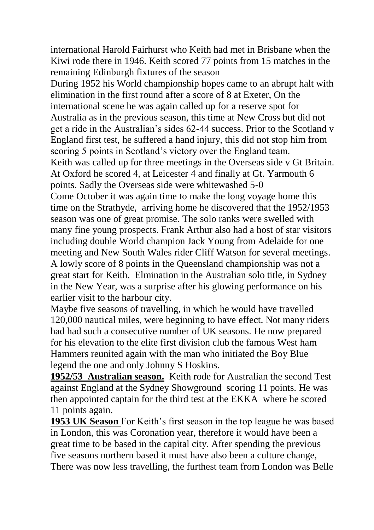international Harold Fairhurst who Keith had met in Brisbane when the Kiwi rode there in 1946. Keith scored 77 points from 15 matches in the remaining Edinburgh fixtures of the season

During 1952 his World championship hopes came to an abrupt halt with elimination in the first round after a score of 8 at Exeter, On the international scene he was again called up for a reserve spot for Australia as in the previous season, this time at New Cross but did not get a ride in the Australian's sides 62-44 success. Prior to the Scotland v England first test, he suffered a hand injury, this did not stop him from scoring 5 points in Scotland's victory over the England team. Keith was called up for three meetings in the Overseas side v Gt Britain. At Oxford he scored 4, at Leicester 4 and finally at Gt. Yarmouth 6 points. Sadly the Overseas side were whitewashed 5-0

Come October it was again time to make the long voyage home this time on the Strathyde, arriving home he discovered that the 1952/1953 season was one of great promise. The solo ranks were swelled with many fine young prospects. Frank Arthur also had a host of star visitors including double World champion Jack Young from Adelaide for one meeting and New South Wales rider Cliff Watson for several meetings. A lowly score of 8 points in the Queensland championship was not a great start for Keith. Elmination in the Australian solo title, in Sydney in the New Year, was a surprise after his glowing performance on his earlier visit to the harbour city.

Maybe five seasons of travelling, in which he would have travelled 120,000 nautical miles, were beginning to have effect. Not many riders had had such a consecutive number of UK seasons. He now prepared for his elevation to the elite first division club the famous West ham Hammers reunited again with the man who initiated the Boy Blue legend the one and only Johnny S Hoskins.

**1952/53 Australian season.** Keith rode for Australian the second Test against England at the Sydney Showground scoring 11 points. He was then appointed captain for the third test at the EKKA where he scored 11 points again.

**1953 UK Season** For Keith's first season in the top league he was based in London, this was Coronation year, therefore it would have been a great time to be based in the capital city. After spending the previous five seasons northern based it must have also been a culture change, There was now less travelling, the furthest team from London was Belle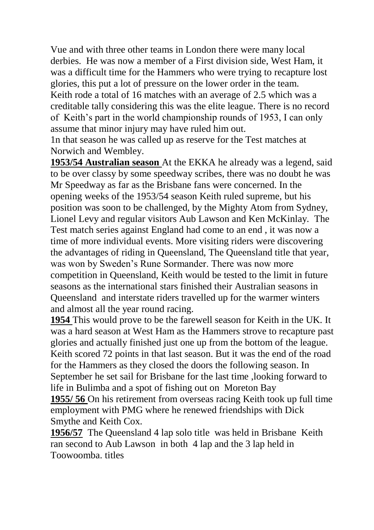Vue and with three other teams in London there were many local derbies. He was now a member of a First division side, West Ham, it was a difficult time for the Hammers who were trying to recapture lost glories, this put a lot of pressure on the lower order in the team. Keith rode a total of 16 matches with an average of 2.5 which was a creditable tally considering this was the elite league. There is no record of Keith's part in the world championship rounds of 1953, I can only assume that minor injury may have ruled him out.

1n that season he was called up as reserve for the Test matches at Norwich and Wembley.

**1953/54 Australian season** At the EKKA he already was a legend, said to be over classy by some speedway scribes, there was no doubt he was Mr Speedway as far as the Brisbane fans were concerned. In the opening weeks of the 1953/54 season Keith ruled supreme, but his position was soon to be challenged, by the Mighty Atom from Sydney, Lionel Levy and regular visitors Aub Lawson and Ken McKinlay. The Test match series against England had come to an end , it was now a time of more individual events. More visiting riders were discovering the advantages of riding in Queensland, The Queensland title that year, was won by Sweden's Rune Sormander. There was now more competition in Queensland, Keith would be tested to the limit in future seasons as the international stars finished their Australian seasons in Queensland and interstate riders travelled up for the warmer winters and almost all the year round racing.

**1954** This would prove to be the farewell season for Keith in the UK. It was a hard season at West Ham as the Hammers strove to recapture past glories and actually finished just one up from the bottom of the league. Keith scored 72 points in that last season. But it was the end of the road for the Hammers as they closed the doors the following season. In September he set sail for Brisbane for the last time ,looking forward to life in Bulimba and a spot of fishing out on Moreton Bay

**1955/ 56** On his retirement from overseas racing Keith took up full time employment with PMG where he renewed friendships with Dick Smythe and Keith Cox.

**1956/57** The Queensland 4 lap solo title was held in Brisbane Keith ran second to Aub Lawson in both 4 lap and the 3 lap held in Toowoomba. titles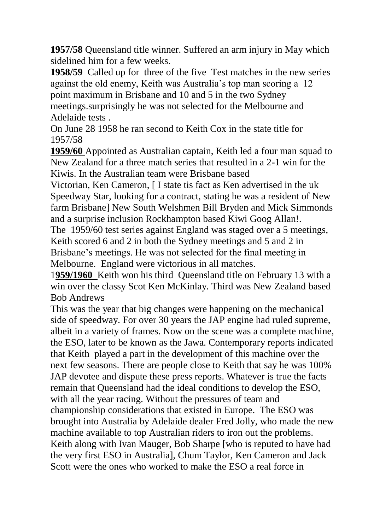**1957/58** Queensland title winner. Suffered an arm injury in May which sidelined him for a few weeks.

**1958/59** Called up for three of the five Test matches in the new series against the old enemy, Keith was Australia's top man scoring a 12 point maximum in Brisbane and 10 and 5 in the two Sydney meetings.surprisingly he was not selected for the Melbourne and Adelaide tests .

On June 28 1958 he ran second to Keith Cox in the state title for 1957/58

**1959/60** Appointed as Australian captain, Keith led a four man squad to New Zealand for a three match series that resulted in a 2-1 win for the Kiwis. In the Australian team were Brisbane based

Victorian, Ken Cameron, [ I state tis fact as Ken advertised in the uk Speedway Star, looking for a contract, stating he was a resident of New farm Brisbane] New South Welshmen Bill Bryden and Mick Simmonds and a surprise inclusion Rockhampton based Kiwi Goog Allan!.

The 1959/60 test series against England was staged over a 5 meetings, Keith scored 6 and 2 in both the Sydney meetings and 5 and 2 in Brisbane's meetings. He was not selected for the final meeting in Melbourne. England were victorious in all matches.

1**959/1960** Keith won his third Queensland title on February 13 with a win over the classy Scot Ken McKinlay. Third was New Zealand based Bob Andrews

This was the year that big changes were happening on the mechanical side of speedway. For over 30 years the JAP engine had ruled supreme, albeit in a variety of frames. Now on the scene was a complete machine, the ESO, later to be known as the Jawa. Contemporary reports indicated that Keith played a part in the development of this machine over the next few seasons. There are people close to Keith that say he was 100% JAP devotee and dispute these press reports. Whatever is true the facts remain that Queensland had the ideal conditions to develop the ESO, with all the year racing. Without the pressures of team and championship considerations that existed in Europe. The ESO was brought into Australia by Adelaide dealer Fred Jolly, who made the new machine available to top Australian riders to iron out the problems. Keith along with Ivan Mauger, Bob Sharpe [who is reputed to have had the very first ESO in Australia], Chum Taylor, Ken Cameron and Jack Scott were the ones who worked to make the ESO a real force in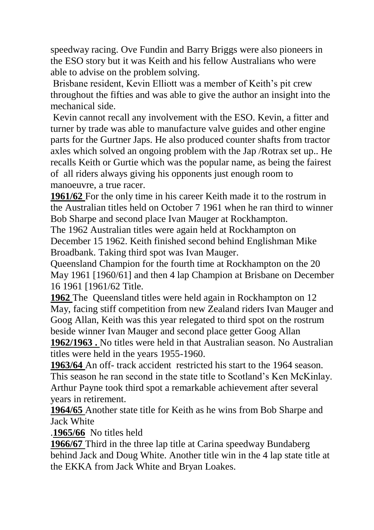speedway racing. Ove Fundin and Barry Briggs were also pioneers in the ESO story but it was Keith and his fellow Australians who were able to advise on the problem solving.

Brisbane resident, Kevin Elliott was a member of Keith's pit crew throughout the fifties and was able to give the author an insight into the mechanical side.

Kevin cannot recall any involvement with the ESO. Kevin, a fitter and turner by trade was able to manufacture valve guides and other engine parts for the Gurtner Japs. He also produced counter shafts from tractor axles which solved an ongoing problem with the Jap /Rotrax set up.. He recalls Keith or Gurtie which was the popular name, as being the fairest of all riders always giving his opponents just enough room to manoeuvre, a true racer.

**1961/62** For the only time in his career Keith made it to the rostrum in the Australian titles held on October 7 1961 when he ran third to winner Bob Sharpe and second place Ivan Mauger at Rockhampton.

The 1962 Australian titles were again held at Rockhampton on December 15 1962. Keith finished second behind Englishman Mike Broadbank. Taking third spot was Ivan Mauger.

Queensland Champion for the fourth time at Rockhampton on the 20 May 1961 [1960/61] and then 4 lap Champion at Brisbane on December 16 1961 [1961/62 Title.

**1962** The Queensland titles were held again in Rockhampton on 12 May, facing stiff competition from new Zealand riders Ivan Mauger and Goog Allan, Keith was this year relegated to third spot on the rostrum beside winner Ivan Mauger and second place getter Goog Allan **1962/1963 .** No titles were held in that Australian season. No Australian

titles were held in the years 1955-1960.

**1963/64** An off- track accident restricted his start to the 1964 season. This season he ran second in the state title to Scotland's Ken McKinlay. Arthur Payne took third spot a remarkable achievement after several years in retirement.

**1964/65** Another state title for Keith as he wins from Bob Sharpe and Jack White

.**1965/66** No titles held

**1966/67** Third in the three lap title at Carina speedway Bundaberg behind Jack and Doug White. Another title win in the 4 lap state title at the EKKA from Jack White and Bryan Loakes.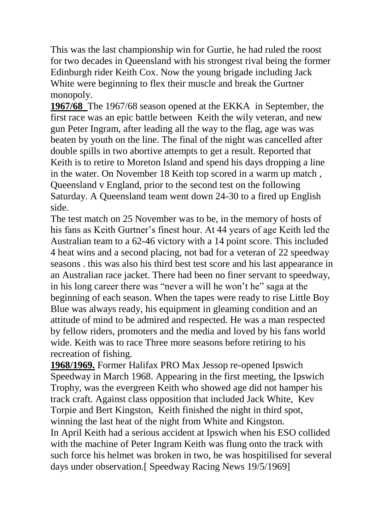This was the last championship win for Gurtie, he had ruled the roost for two decades in Queensland with his strongest rival being the former Edinburgh rider Keith Cox. Now the young brigade including Jack White were beginning to flex their muscle and break the Gurtner monopoly.

**1967/68** The 1967/68 season opened at the EKKA in September, the first race was an epic battle between Keith the wily veteran, and new gun Peter Ingram, after leading all the way to the flag, age was was beaten by youth on the line. The final of the night was cancelled after double spills in two abortive attempts to get a result. Reported that Keith is to retire to Moreton Island and spend his days dropping a line in the water. On November 18 Keith top scored in a warm up match , Queensland v England, prior to the second test on the following Saturday. A Queensland team went down 24-30 to a fired up English side.

The test match on 25 November was to be, in the memory of hosts of his fans as Keith Gurtner's finest hour. At 44 years of age Keith led the Australian team to a 62-46 victory with a 14 point score. This included 4 heat wins and a second placing, not bad for a veteran of 22 speedway seasons . this was also his third best test score and his last appearance in an Australian race jacket. There had been no finer servant to speedway, in his long career there was "never a will he won't he" saga at the beginning of each season. When the tapes were ready to rise Little Boy Blue was always ready, his equipment in gleaming condition and an attitude of mind to be admired and respected. He was a man respected by fellow riders, promoters and the media and loved by his fans world wide. Keith was to race Three more seasons before retiring to his recreation of fishing.

**1968/1969.** Former Halifax PRO Max Jessop re-opened Ipswich Speedway in March 1968. Appearing in the first meeting, the Ipswich Trophy, was the evergreen Keith who showed age did not hamper his track craft. Against class opposition that included Jack White, Kev Torpie and Bert Kingston, Keith finished the night in third spot, winning the last heat of the night from White and Kingston. In April Keith had a serious accident at Ipswich when his ESO collided with the machine of Peter Ingram Keith was flung onto the track with such force his helmet was broken in two, he was hospitilised for several days under observation.[ Speedway Racing News 19/5/1969]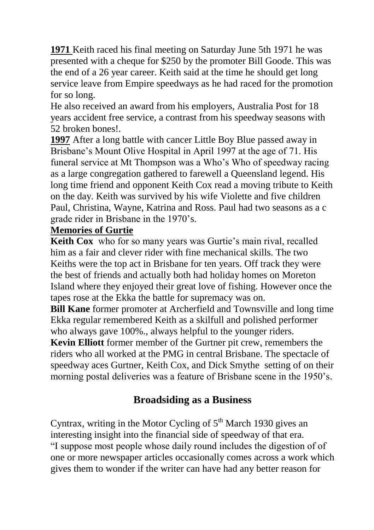**1971** Keith raced his final meeting on Saturday June 5th 1971 he was presented with a cheque for \$250 by the promoter Bill Goode. This was the end of a 26 year career. Keith said at the time he should get long service leave from Empire speedways as he had raced for the promotion for so long.

He also received an award from his employers, Australia Post for 18 years accident free service, a contrast from his speedway seasons with 52 broken bones!.

**1997** After a long battle with cancer Little Boy Blue passed away in Brisbane's Mount Olive Hospital in April 1997 at the age of 71. His funeral service at Mt Thompson was a Who's Who of speedway racing as a large congregation gathered to farewell a Queensland legend. His long time friend and opponent Keith Cox read a moving tribute to Keith on the day. Keith was survived by his wife Violette and five children Paul, Christina, Wayne, Katrina and Ross. Paul had two seasons as a c grade rider in Brisbane in the 1970's.

### **Memories of Gurtie**

**Keith Cox** who for so many years was Gurtie's main rival, recalled him as a fair and clever rider with fine mechanical skills. The two Keiths were the top act in Brisbane for ten years. Off track they were the best of friends and actually both had holiday homes on Moreton Island where they enjoyed their great love of fishing. However once the tapes rose at the Ekka the battle for supremacy was on.

**Bill Kane** former promoter at Archerfield and Townsville and long time Ekka regular remembered Keith as a skilfull and polished performer who always gave 100%., always helpful to the younger riders.

**Kevin Elliott** former member of the Gurtner pit crew, remembers the riders who all worked at the PMG in central Brisbane. The spectacle of speedway aces Gurtner, Keith Cox, and Dick Smythe setting of on their morning postal deliveries was a feature of Brisbane scene in the 1950's.

### **Broadsiding as a Business**

Cyntrax, writing in the Motor Cycling of  $5<sup>th</sup>$  March 1930 gives an interesting insight into the financial side of speedway of that era. "I suppose most people whose daily round includes the digestion of of one or more newspaper articles occasionally comes across a work which gives them to wonder if the writer can have had any better reason for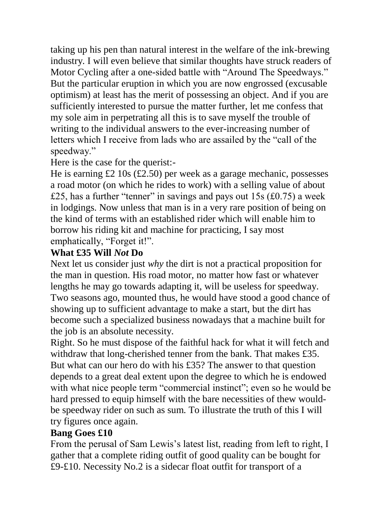taking up his pen than natural interest in the welfare of the ink-brewing industry. I will even believe that similar thoughts have struck readers of Motor Cycling after a one-sided battle with "Around The Speedways." But the particular eruption in which you are now engrossed (excusable optimism) at least has the merit of possessing an object. And if you are sufficiently interested to pursue the matter further, let me confess that my sole aim in perpetrating all this is to save myself the trouble of writing to the individual answers to the ever-increasing number of letters which I receive from lads who are assailed by the "call of the speedway."

Here is the case for the querist:-

He is earning £2 10s (£2.50) per week as a garage mechanic, possesses a road motor (on which he rides to work) with a selling value of about £25, has a further "tenner" in savings and pays out 15s  $(£0.75)$  a week in lodgings. Now unless that man is in a very rare position of being on the kind of terms with an established rider which will enable him to borrow his riding kit and machine for practicing, I say most emphatically, "Forget it!".

#### **What £35 Will** *Not* **Do**

Next let us consider just *why* the dirt is not a practical proposition for the man in question. His road motor, no matter how fast or whatever lengths he may go towards adapting it, will be useless for speedway. Two seasons ago, mounted thus, he would have stood a good chance of showing up to sufficient advantage to make a start, but the dirt has become such a specialized business nowadays that a machine built for the job is an absolute necessity.

Right. So he must dispose of the faithful hack for what it will fetch and withdraw that long-cherished tenner from the bank. That makes £35. But what can our hero do with his £35? The answer to that question depends to a great deal extent upon the degree to which he is endowed with what nice people term "commercial instinct"; even so he would be hard pressed to equip himself with the bare necessities of thew wouldbe speedway rider on such as sum. To illustrate the truth of this I will try figures once again.

#### **Bang Goes £10**

From the perusal of Sam Lewis's latest list, reading from left to right, I gather that a complete riding outfit of good quality can be bought for £9-£10. Necessity No.2 is a sidecar float outfit for transport of a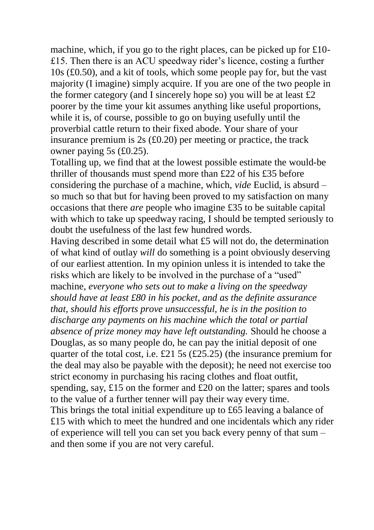machine, which, if you go to the right places, can be picked up for £10- £15. Then there is an ACU speedway rider's licence, costing a further 10s (£0.50), and a kit of tools, which some people pay for, but the vast majority (I imagine) simply acquire. If you are one of the two people in the former category (and I sincerely hope so) you will be at least  $\pounds 2$ poorer by the time your kit assumes anything like useful proportions, while it is, of course, possible to go on buying usefully until the proverbial cattle return to their fixed abode. Your share of your insurance premium is 2s (£0.20) per meeting or practice, the track owner paying 5s (£0.25).

Totalling up, we find that at the lowest possible estimate the would-be thriller of thousands must spend more than £22 of his £35 before considering the purchase of a machine, which, *vide* Euclid, is absurd – so much so that but for having been proved to my satisfaction on many occasions that there *are* people who imagine £35 to be suitable capital with which to take up speedway racing, I should be tempted seriously to doubt the usefulness of the last few hundred words.

Having described in some detail what £5 will not do, the determination of what kind of outlay *will* do something is a point obviously deserving of our earliest attention. In my opinion unless it is intended to take the risks which are likely to be involved in the purchase of a "used" machine, *everyone who sets out to make a living on the speedway should have at least £80 in his pocket, and as the definite assurance that, should his efforts prove unsuccessful, he is in the position to discharge any payments on his machine which the total or partial absence of prize money may have left outstanding.* Should he choose a Douglas, as so many people do, he can pay the initial deposit of one quarter of the total cost, i.e. £21 5s (£25.25) (the insurance premium for the deal may also be payable with the deposit); he need not exercise too strict economy in purchasing his racing clothes and float outfit, spending, say, £15 on the former and £20 on the latter; spares and tools to the value of a further tenner will pay their way every time. This brings the total initial expenditure up to £65 leaving a balance of £15 with which to meet the hundred and one incidentals which any rider of experience will tell you can set you back every penny of that sum – and then some if you are not very careful.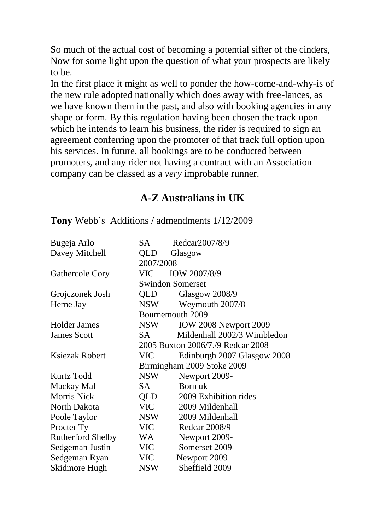So much of the actual cost of becoming a potential sifter of the cinders, Now for some light upon the question of what your prospects are likely to be.

In the first place it might as well to ponder the how-come-and-why-is of the new rule adopted nationally which does away with free-lances, as we have known them in the past, and also with booking agencies in any shape or form. By this regulation having been chosen the track upon which he intends to learn his business, the rider is required to sign an agreement conferring upon the promoter of that track full option upon his services. In future, all bookings are to be conducted between promoters, and any rider not having a contract with an Association company can be classed as a *very* improbable runner.

## **A-Z Australians in UK**

**Tony** Webb's Additions / admendments 1/12/2009

| Bugeja Arlo         | SA.                               | Redcar2007/8/9              |
|---------------------|-----------------------------------|-----------------------------|
| Davey Mitchell      | OLD.                              | Glasgow                     |
|                     | 2007/2008                         |                             |
| Gathercole Cory     | VIC                               | IOW 2007/8/9                |
|                     | <b>Swindon Somerset</b>           |                             |
| Grojczonek Josh     | QLD                               | Glasgow 2008/9              |
| Herne Jay           | <b>NSW</b>                        | Weymouth 2007/8             |
|                     | Bournemouth 2009                  |                             |
| <b>Holder James</b> | <b>NSW</b>                        | IOW 2008 Newport 2009       |
| <b>James Scott</b>  | SA.                               | Mildenhall 2002/3 Wimbledon |
|                     | 2005 Buxton 2006/7./9 Redcar 2008 |                             |
| Ksiezak Robert      | VIC                               | Edinburgh 2007 Glasgow 2008 |
|                     | Birmingham 2009 Stoke 2009        |                             |
| Kurtz Todd          | <b>NSW</b>                        | Newport 2009-               |
| Mackay Mal          | SA.                               | Born uk                     |
| Morris Nick         | QLD                               | 2009 Exhibition rides       |
| North Dakota        | VIC -                             | 2009 Mildenhall             |
| Poole Taylor        | <b>NSW</b>                        | 2009 Mildenhall             |
| Procter Ty          | VIC                               | Redcar 2008/9               |
| Rutherford Shelby   | WA.                               | Newport 2009-               |
| Sedgeman Justin     | VIC                               | Somerset 2009-              |
| Sedgeman Ryan       | VIC                               | Newport 2009                |
| Skidmore Hugh       | NSW                               | Sheffield 2009              |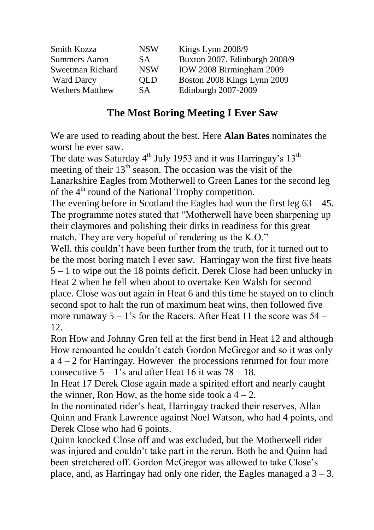| Smith Kozza          | <b>NSW</b> | Kings Lynn 2008/9             |
|----------------------|------------|-------------------------------|
| <b>Summers Aaron</b> | SA.        | Buxton 2007. Edinburgh 2008/9 |
| Sweetman Richard     | <b>NSW</b> | IOW 2008 Birmingham 2009      |
| <b>Ward Darcy</b>    | OLD        | Boston 2008 Kings Lynn 2009   |
| Wethers Matthew      | SA.        | Edinburgh 2007-2009           |

### **The Most Boring Meeting I Ever Saw**

We are used to reading about the best. Here **Alan Bates** nominates the worst he ever saw.

The date was Saturday  $4<sup>th</sup>$  July 1953 and it was Harringay's  $13<sup>th</sup>$ meeting of their  $13<sup>th</sup>$  season. The occasion was the visit of the Lanarkshire Eagles from Motherwell to Green Lanes for the second leg of the  $4<sup>th</sup>$  round of the National Trophy competition.

The evening before in Scotland the Eagles had won the first leg  $63 - 45$ . The programme notes stated that "Motherwell have been sharpening up their claymores and polishing their dirks in readiness for this great match. They are very hopeful of rendering us the K.O."

Well, this couldn't have been further from the truth, for it turned out to be the most boring match I ever saw. Harringay won the first five heats 5 – 1 to wipe out the 18 points deficit. Derek Close had been unlucky in Heat 2 when he fell when about to overtake Ken Walsh for second place. Close was out again in Heat 6 and this time he stayed on to clinch second spot to halt the run of maximum heat wins, then followed five more runaway  $5 - 1$ 's for the Racers. After Heat 11 the score was  $54 -$ 12.

Ron How and Johnny Gren fell at the first bend in Heat 12 and although How remounted he couldn't catch Gordon McGregor and so it was only a 4 – 2 for Harringay. However the processions returned for four more consecutive  $5 - 1$ 's and after Heat 16 it was  $78 - 18$ .

In Heat 17 Derek Close again made a spirited effort and nearly caught the winner. Ron How, as the home side took  $a_1 + b_2 = 2$ .

In the nominated rider's heat, Harringay tracked their reserves, Allan Quinn and Frank Lawrence against Noel Watson, who had 4 points, and Derek Close who had 6 points.

Quinn knocked Close off and was excluded, but the Motherwell rider was injured and couldn't take part in the rerun. Both he and Quinn had been stretchered off. Gordon McGregor was allowed to take Close's place, and, as Harringay had only one rider, the Eagles managed a  $3 - 3$ .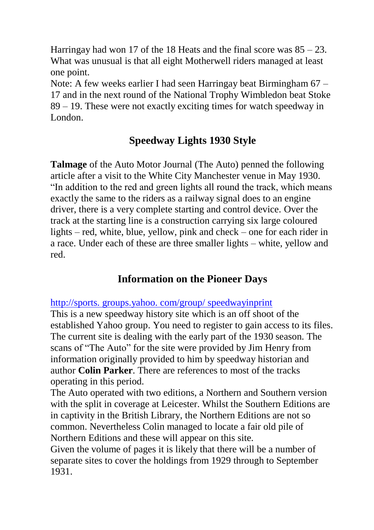Harringay had won 17 of the 18 Heats and the final score was  $85 - 23$ . What was unusual is that all eight Motherwell riders managed at least one point.

Note: A few weeks earlier I had seen Harringay beat Birmingham 67 – 17 and in the next round of the National Trophy Wimbledon beat Stoke 89 – 19. These were not exactly exciting times for watch speedway in London.

# **Speedway Lights 1930 Style**

**Talmage** of the Auto Motor Journal (The Auto) penned the following article after a visit to the White City Manchester venue in May 1930. "In addition to the red and green lights all round the track, which means exactly the same to the riders as a railway signal does to an engine driver, there is a very complete starting and control device. Over the track at the starting line is a construction carrying six large coloured lights – red, white, blue, yellow, pink and check – one for each rider in a race. Under each of these are three smaller lights – white, yellow and red.

# **Information on the Pioneer Days**

[http://sports. groups.yahoo. com/group/ speedwayinprint](http://sports.groups.yahoo.com/group/speedwayinprint)

This is a new speedway history site which is an off shoot of the established Yahoo group. You need to register to gain access to its files. The current site is dealing with the early part of the 1930 season. The scans of "The Auto" for the site were provided by Jim Henry from information originally provided to him by speedway historian and author **Colin Parker**. There are references to most of the tracks operating in this period.

The Auto operated with two editions, a Northern and Southern version with the split in coverage at Leicester. Whilst the Southern Editions are in captivity in the British Library, the Northern Editions are not so common. Nevertheless Colin managed to locate a fair old pile of Northern Editions and these will appear on this site.

Given the volume of pages it is likely that there will be a number of separate sites to cover the holdings from 1929 through to September 1931.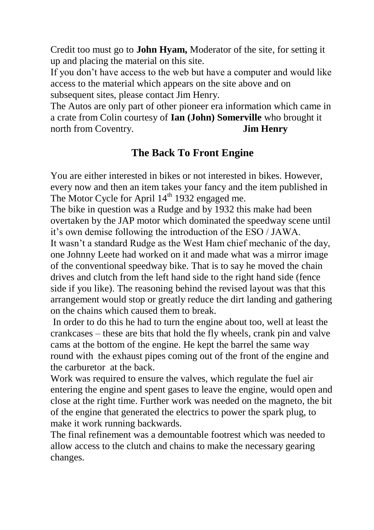Credit too must go to **John Hyam,** Moderator of the site, for setting it up and placing the material on this site.

If you don't have access to the web but have a computer and would like access to the material which appears on the site above and on subsequent sites, please contact Jim Henry.

The Autos are only part of other pioneer era information which came in a crate from Colin courtesy of **Ian (John) Somerville** who brought it north from Coventry. **Jim Henry**

## **The Back To Front Engine**

You are either interested in bikes or not interested in bikes. However, every now and then an item takes your fancy and the item published in The Motor Cycle for April  $14<sup>th</sup>$  1932 engaged me.

The bike in question was a Rudge and by 1932 this make had been overtaken by the JAP motor which dominated the speedway scene until it's own demise following the introduction of the ESO / JAWA.

It wasn't a standard Rudge as the West Ham chief mechanic of the day, one Johnny Leete had worked on it and made what was a mirror image of the conventional speedway bike. That is to say he moved the chain drives and clutch from the left hand side to the right hand side (fence side if you like). The reasoning behind the revised layout was that this arrangement would stop or greatly reduce the dirt landing and gathering on the chains which caused them to break.

In order to do this he had to turn the engine about too, well at least the crankcases – these are bits that hold the fly wheels, crank pin and valve cams at the bottom of the engine. He kept the barrel the same way round with the exhaust pipes coming out of the front of the engine and the carburetor at the back.

Work was required to ensure the valves, which regulate the fuel air entering the engine and spent gases to leave the engine, would open and close at the right time. Further work was needed on the magneto, the bit of the engine that generated the electrics to power the spark plug, to make it work running backwards.

The final refinement was a demountable footrest which was needed to allow access to the clutch and chains to make the necessary gearing changes.